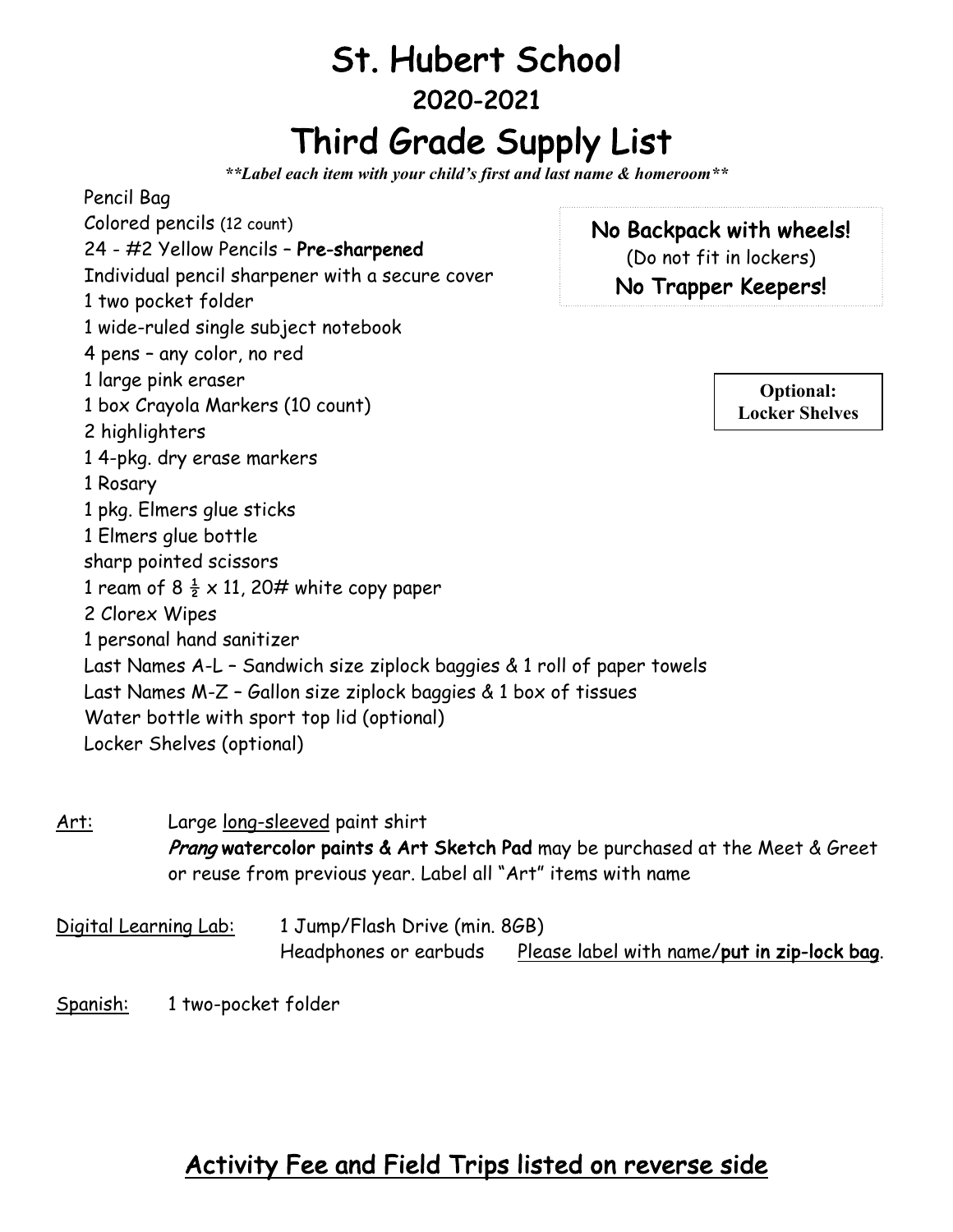## St. Hubert School 2020-2021 Third Grade Supply List

*\*\*Label each item with your child's first and last name & homeroom\*\**

Pencil Bag Colored pencils (12 count) 24 - #2 Yellow Pencils – Pre-sharpened Individual pencil sharpener with a secure cover 1 two pocket folder 1 wide-ruled single subject notebook 4 pens – any color, no red 1 large pink eraser 1 box Crayola Markers (10 count) 2 highlighters 1 4-pkg. dry erase markers 1 Rosary 1 pkg. Elmers glue sticks 1 Elmers glue bottle sharp pointed scissors 1 ream of 8  $\frac{1}{2} \times 11$ , 20# white copy paper 2 Clorex Wipes 1 personal hand sanitizer Last Names A-L – Sandwich size ziplock baggies & 1 roll of paper towels Last Names M-Z – Gallon size ziplock baggies & 1 box of tissues Water bottle with sport top lid (optional) Locker Shelves (optional) No Backpack with wheels! (Do not fit in lockers) No Trapper Keepers! **Optional: Locker Shelves**

Art: Large long-sleeved paint shirt Prang watercolor paints & Art Sketch Pad may be purchased at the Meet & Greet or reuse from previous year. Label all "Art" items with name

Digital Learning Lab: 1 Jump/Flash Drive (min. 8GB) Headphones or earbuds Please label with name/put in zip-lock bag.

Spanish: 1 two-pocket folder

## Activity Fee and Field Trips listed on reverse side